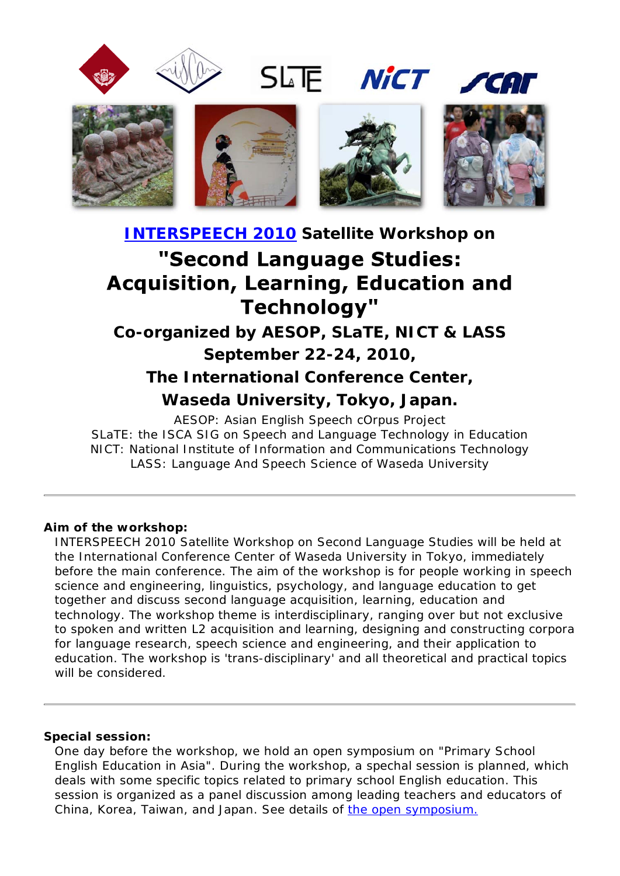

SLTE NICT CAL



# **INTERSPEECH 2010 Satellite Workshop on** "Second Language Studies: **Acquisition, Learning, Education and Technology"**

**Co-organized by AESOP, SLaTE, NICT & LASS September 22-24, 2010,**

**The International Conference Center,**

**Waseda University, Tokyo, Japan.**

AESOP: Asian English Speech cOrpus Project SLaTE: the ISCA SIG on Speech and Language Technology in Education NICT: National Institute of Information and Communications Technology LASS: Language And Speech Science of Waseda University

### **Aim of the workshop:**

INTERSPEECH 2010 Satellite Workshop on Second Language Studies will be held at the International Conference Center of Waseda University in Tokyo, immediately before the main conference. The aim of the workshop is for people working in speech science and engineering, linguistics, psychology, and language education to get together and discuss second language acquisition, learning, education and technology. The workshop theme is interdisciplinary, ranging over but not exclusive to spoken and written L2 acquisition and learning, designing and constructing corpora for language research, speech science and engineering, and their application to education. The workshop is 'trans-disciplinary' and all theoretical and practical topics will be considered.

### **Special session:**

One day before the workshop, we hold an open symposium on "Primary School English Education in Asia". During the workshop, a spechal session is planned, which deals with some specific topics related to primary school English education. This session is organized as a panel discussion among leading teachers and educators of China, Korea, Taiwan, and Japan. See details of the open symposium.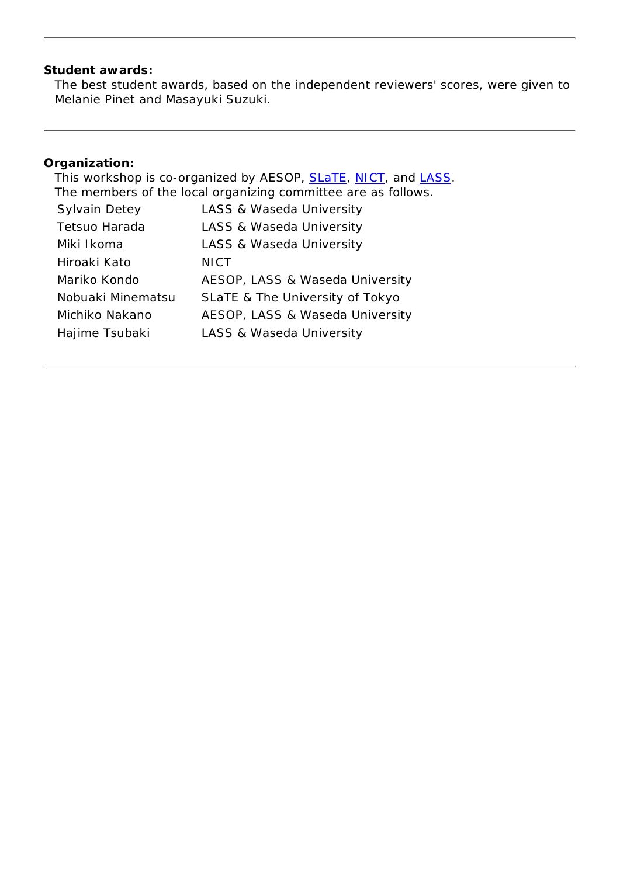### **Student awards:**

The best student awards, based on the independent reviewers' scores, were given to Melanie Pinet and Masayuki Suzuki.

## **Organization:**

| This workshop is co-organized by AESOP, SLaTE, NICT, and LASS. |                                 |  |  |
|----------------------------------------------------------------|---------------------------------|--|--|
| The members of the local organizing committee are as follows.  |                                 |  |  |
| <b>Sylvain Detey</b>                                           | LASS & Waseda University        |  |  |
| Tetsuo Harada                                                  | LASS & Waseda University        |  |  |
| Miki Ikoma                                                     | LASS & Waseda University        |  |  |
| Hiroaki Kato                                                   | <b>NICT</b>                     |  |  |
| Mariko Kondo                                                   | AESOP, LASS & Waseda University |  |  |
| Nobuaki Minematsu                                              | SLaTE & The University of Tokyo |  |  |
| Michiko Nakano                                                 | AESOP, LASS & Waseda University |  |  |
| Hajime Tsubaki                                                 | LASS & Waseda University        |  |  |
|                                                                |                                 |  |  |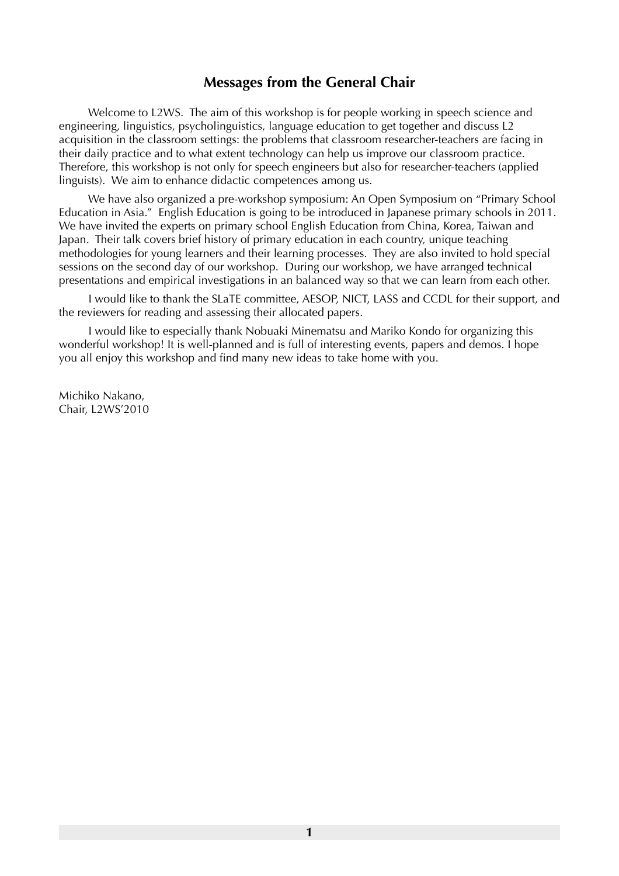## **Messages from the General Chair**

 Welcome to L2WS. The aim of this workshop is for people working in speech science and engineering, linguistics, psycholinguistics, language education to get together and discuss L2 acquisition in the classroom settings: the problems that classroom researcher-teachers are facing in their daily practice and to what extent technology can help us improve our classroom practice. Therefore, this workshop is not only for speech engineers but also for researcher-teachers (applied linguists). We aim to enhance didactic competences among us.

 We have also organized a pre-workshop symposium: An Open Symposium on "Primary School Education in Asia." English Education is going to be introduced in Japanese primary schools in 2011. We have invited the experts on primary school English Education from China, Korea, Taiwan and Japan. Their talk covers brief history of primary education in each country, unique teaching methodologies for young learners and their learning processes. They are also invited to hold special sessions on the second day of our workshop. During our workshop, we have arranged technical presentations and empirical investigations in an balanced way so that we can learn from each other.

 I would like to thank the SLaTE committee, AESOP, NICT, LASS and CCDL for their support, and the reviewers for reading and assessing their allocated papers.

 I would like to especially thank Nobuaki Minematsu and Mariko Kondo for organizing this wonderful workshop! It is well-planned and is full of interesting events, papers and demos. I hope you all enjoy this workshop and find many new ideas to take home with you.

Michiko Nakano, Chair, L2WS'2010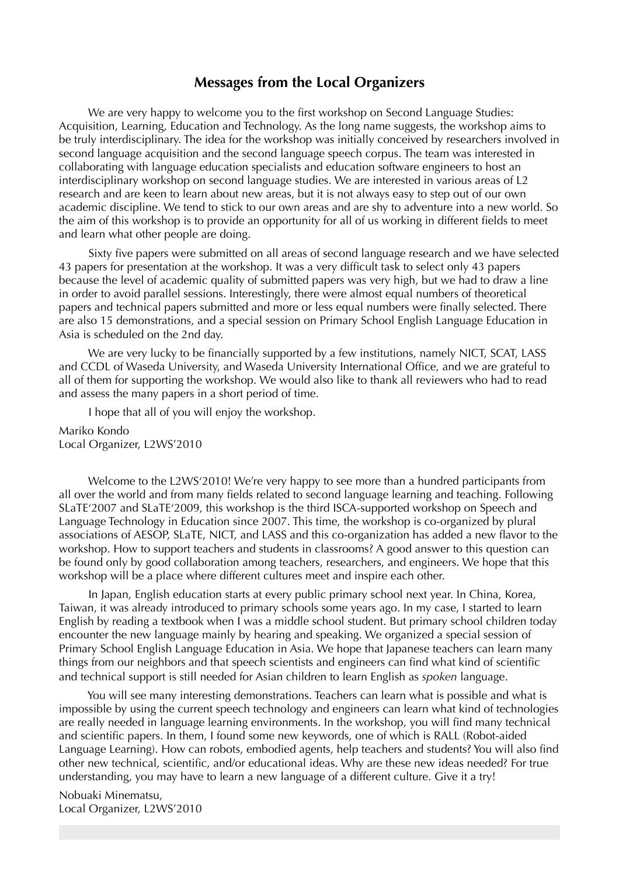### **Messages from the Local Organizers**

 We are very happy to welcome you to the first workshop on Second Language Studies: Acquisition, Learning, Education and Technology. As the long name suggests, the workshop aims to be truly interdisciplinary. The idea for the workshop was initially conceived by researchers involved in second language acquisition and the second language speech corpus. The team was interested in collaborating with language education specialists and education software engineers to host an interdisciplinary workshop on second language studies. We are interested in various areas of L2 research and are keen to learn about new areas, but it is not always easy to step out of our own academic discipline. We tend to stick to our own areas and are shy to adventure into a new world. So the aim of this workshop is to provide an opportunity for all of us working in different fields to meet and learn what other people are doing.

 Sixty five papers were submitted on all areas of second language research and we have selected 43 papers for presentation at the workshop. It was a very difficult task to select only 43 papers because the level of academic quality of submitted papers was very high, but we had to draw a line in order to avoid parallel sessions. Interestingly, there were almost equal numbers of theoretical papers and technical papers submitted and more or less equal numbers were finally selected. There are also 15 demonstrations, and a special session on Primary School English Language Education in Asia is scheduled on the 2nd day.

We are very lucky to be financially supported by a few institutions, namely NICT, SCAT, LASS and CCDL of Waseda University, and Waseda University International Office, and we are grateful to all of them for supporting the workshop. We would also like to thank all reviewers who had to read and assess the many papers in a short period of time.

I hope that all of you will enjoy the workshop.

Mariko Kondo Local Organizer, L2WS'2010

 Welcome to the L2WS'2010! We're very happy to see more than a hundred participants from all over the world and from many fields related to second language learning and teaching. Following SLaTE'2007 and SLaTE'2009, this workshop is the third ISCA-supported workshop on Speech and Language Technology in Education since 2007. This time, the workshop is co-organized by plural associations of AESOP, SLaTE, NICT, and LASS and this co-organization has added a new flavor to the workshop. How to support teachers and students in classrooms? A good answer to this question can be found only by good collaboration among teachers, researchers, and engineers. We hope that this workshop will be a place where different cultures meet and inspire each other.

 In Japan, English education starts at every public primary school next year. In China, Korea, Taiwan, it was already introduced to primary schools some years ago. In my case, I started to learn English by reading a textbook when I was a middle school student. But primary school children today encounter the new language mainly by hearing and speaking. We organized a special session of Primary School English Language Education in Asia. We hope that Japanese teachers can learn many things from our neighbors and that speech scientists and engineers can find what kind of scientific and technical support is still needed for Asian children to learn English as *spoken* language.

 You will see many interesting demonstrations. Teachers can learn what is possible and what is impossible by using the current speech technology and engineers can learn what kind of technologies are really needed in language learning environments. In the workshop, you will find many technical and scientific papers. In them, I found some new keywords, one of which is RALL (Robot-aided Language Learning). How can robots, embodied agents, help teachers and students? You will also find other new technical, scientific, and/or educational ideas. Why are these new ideas needed? For true understanding, you may have to learn a new language of a different culture. Give it a try!

Nobuaki Minematsu, Local Organizer, L2WS'2010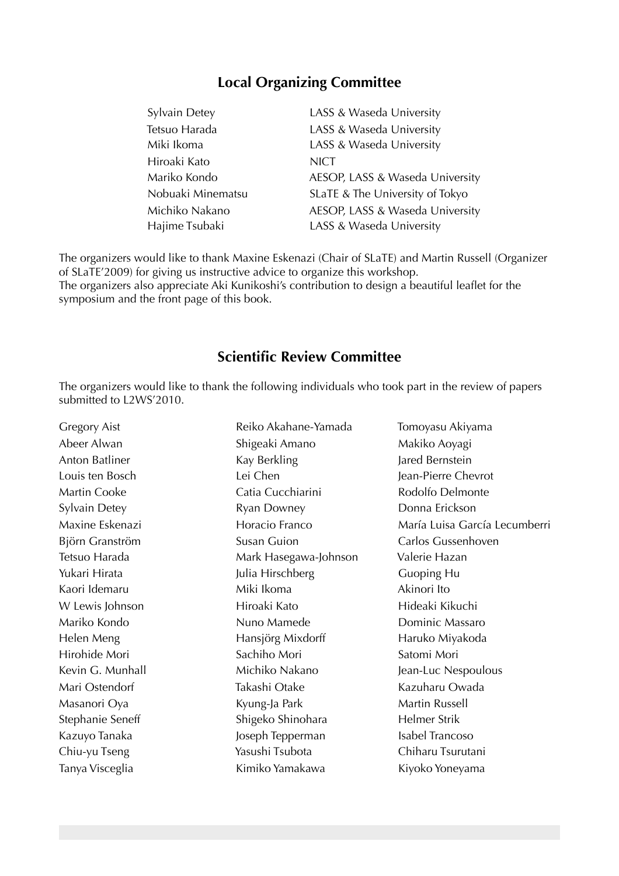## **Local Organizing Committee**

| Sylvain Detey     | LASS & Waseda University        |
|-------------------|---------------------------------|
| Tetsuo Harada     | LASS & Waseda University        |
| Miki Ikoma        | LASS & Waseda University        |
| Hiroaki Kato      | <b>NICT</b>                     |
| Mariko Kondo      | AESOP, LASS & Waseda University |
| Nobuaki Minematsu | SLaTE & The University of Tokyo |
| Michiko Nakano    | AESOP, LASS & Waseda University |
| Hajime Tsubaki    | LASS & Waseda University        |

The organizers would like to thank Maxine Eskenazi (Chair of SLaTE) and Martin Russell (Organizer of SLaTE'2009) for giving us instructive advice to organize this workshop. The organizers also appreciate Aki Kunikoshi's contribution to design a beautiful leaflet for the symposium and the front page of this book.

## **Scientific Review Committee**

The organizers would like to thank the following individuals who took part in the review of papers submitted to L2WS'2010.

| <b>Gregory Aist</b> | Reiko Akahane-Yamada  | Tomoyasu Akiyama              |
|---------------------|-----------------------|-------------------------------|
| Abeer Alwan         | Shigeaki Amano        | Makiko Aoyagi                 |
| Anton Batliner      | Kay Berkling          | Jared Bernstein               |
| Louis ten Bosch     | Lei Chen              | Jean-Pierre Chevrot           |
| Martin Cooke        | Catia Cucchiarini     | Rodolfo Delmonte              |
| Sylvain Detey       | Ryan Downey           | Donna Erickson                |
| Maxine Eskenazi     | Horacio Franco        | María Luisa García Lecumberri |
| Björn Granström     | <b>Susan Guion</b>    | Carlos Gussenhoven            |
| Tetsuo Harada       | Mark Hasegawa-Johnson | Valerie Hazan                 |
| Yukari Hirata       | Julia Hirschberg      | Guoping Hu                    |
| Kaori Idemaru       | Miki Ikoma            | Akinori Ito                   |
| W Lewis Johnson     | Hiroaki Kato          | Hideaki Kikuchi               |
| Mariko Kondo        | Nuno Mamede           | Dominic Massaro               |
| Helen Meng          | Hansjörg Mixdorff     | Haruko Miyakoda               |
| Hirohide Mori       | Sachiho Mori          | Satomi Mori                   |
| Kevin G. Munhall    | Michiko Nakano        | Jean-Luc Nespoulous           |
| Mari Ostendorf      | Takashi Otake         | Kazuharu Owada                |
| Masanori Oya        | Kyung-Ja Park         | Martin Russell                |
| Stephanie Seneff    | Shigeko Shinohara     | Helmer Strik                  |
| Kazuyo Tanaka       | Joseph Tepperman      | Isabel Trancoso               |
| Chiu-yu Tseng       | Yasushi Tsubota       | Chiharu Tsurutani             |
| Tanya Visceglia     | Kimiko Yamakawa       | Kiyoko Yoneyama               |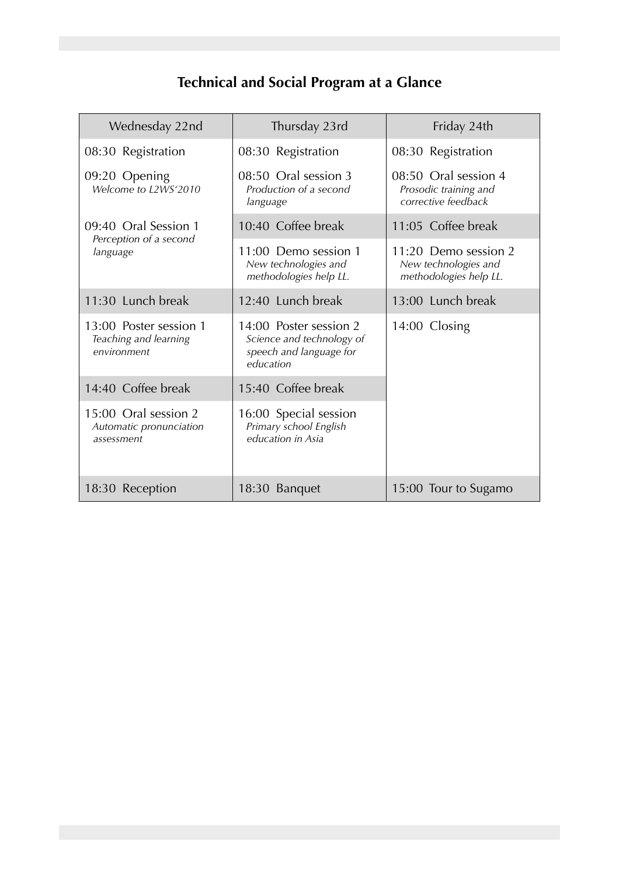# **Technical and Social Program at a Glance**

| Wednesday 22nd                                                 | Thursday 23rd                                                                               | Friday 24th                                                            |
|----------------------------------------------------------------|---------------------------------------------------------------------------------------------|------------------------------------------------------------------------|
| 08:30 Registration                                             | 08:30 Registration                                                                          | 08:30 Registration                                                     |
| 09:20 Opening<br>Welcome to L2WS'2010                          | 08:50 Oral session 3<br>Production of a second<br>language                                  | 08:50 Oral session 4<br>Prosodic training and<br>corrective feedback   |
| 09:40 Oral Session 1                                           | 10:40 Coffee break                                                                          | 11:05 Coffee break                                                     |
| Perception of a second<br>language                             | 11:00 Demo session 1<br>New technologies and<br>methodologies help LL.                      | 11:20 Demo session 2<br>New technologies and<br>methodologies help LL. |
| 11:30 Lunch break                                              | 12:40 Lunch break                                                                           | 13:00 Lunch break                                                      |
| 13:00 Poster session 1<br>Teaching and learning<br>environment | 14:00 Poster session 2<br>Science and technology of<br>speech and language for<br>education | 14:00 Closing                                                          |
| 14:40 Coffee break                                             | 15:40 Coffee break                                                                          |                                                                        |
| 15:00 Oral session 2<br>Automatic pronunciation<br>assessment  | 16:00 Special session<br>Primary school English<br>education in Asia                        |                                                                        |
| 18:30 Reception                                                | 18:30 Banquet                                                                               | 15:00 Tour to Sugamo                                                   |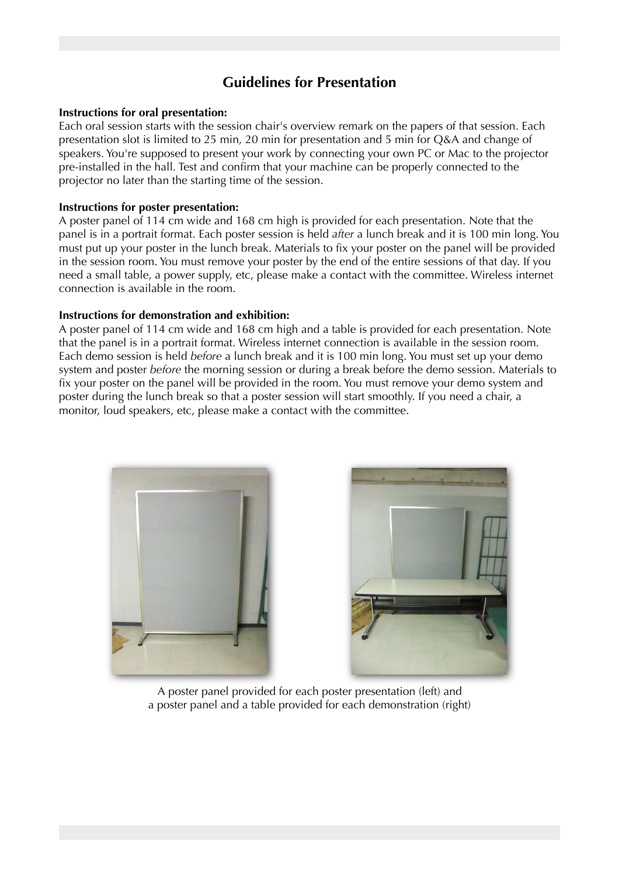## **Guidelines for Presentation**

#### **Instructions for oral presentation:**

Each oral session starts with the session chair's overview remark on the papers of that session. Each presentation slot is limited to 25 min, 20 min for presentation and 5 min for Q&A and change of speakers. You're supposed to present your work by connecting your own PC or Mac to the projector pre-installed in the hall. Test and confirm that your machine can be properly connected to the projector no later than the starting time of the session.

#### **Instructions for poster presentation:**

A poster panel of 114 cm wide and 168 cm high is provided for each presentation. Note that the panel is in a portrait format. Each poster session is held *after* a lunch break and it is 100 min long. You must put up your poster in the lunch break. Materials to fix your poster on the panel will be provided in the session room. You must remove your poster by the end of the entire sessions of that day. If you need a small table, a power supply, etc, please make a contact with the committee. Wireless internet connection is available in the room.

#### **Instructions for demonstration and exhibition:**

A poster panel of 114 cm wide and 168 cm high and a table is provided for each presentation. Note that the panel is in a portrait format. Wireless internet connection is available in the session room. Each demo session is held *before* a lunch break and it is 100 min long. You must set up your demo system and poster *before* the morning session or during a break before the demo session. Materials to fix your poster on the panel will be provided in the room. You must remove your demo system and poster during the lunch break so that a poster session will start smoothly. If you need a chair, a monitor, loud speakers, etc, please make a contact with the committee.





A poster panel provided for each poster presentation (left) and a poster panel and a table provided for each demonstration (right)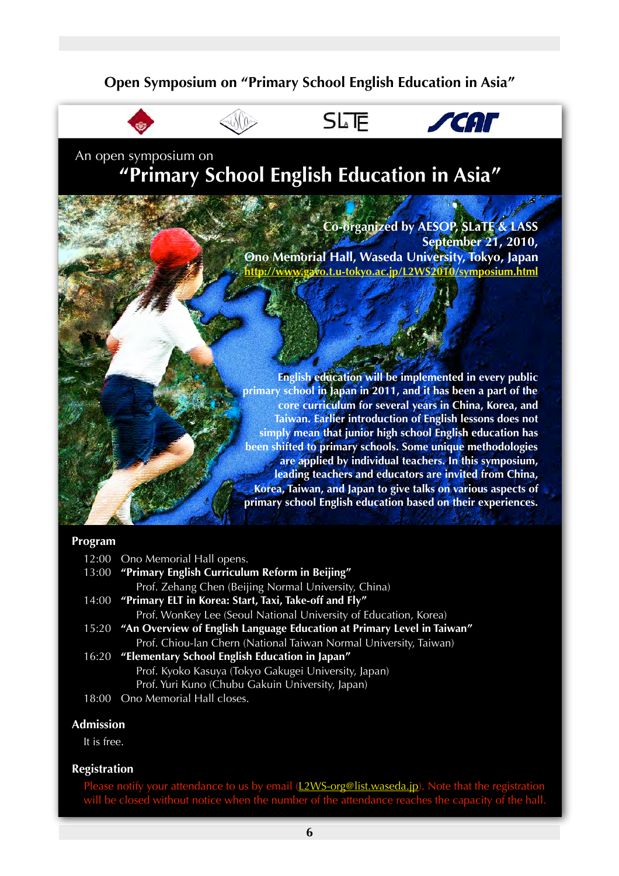## **Open Symposium on "Primary School English Education in Asia"**



# **SLF**



An open symposium on **"Primary School English Education in Asia"**

JAM DO

**Co-organized by AESOP, SLaTE & LASS September 21, 2010, Ono Memorial Hall, Waseda University, Tokyo, Japan http://www.gavo.t.u-tokyo.ac.jp/L2WS2010/symposium.html**

**English education will be implemented in every public primary school in Japan in 2011, and it has been a part of the core curriculum for several years in China, Korea, and Taiwan. Earlier introduction of English lessons does not simply mean that junior high school English education has been shifted to primary schools. Some unique methodologies are applied by individual teachers. In this symposium, leading teachers and educators are invited from China, Korea, Taiwan, and Japan to give talks on various aspects of primary school English education based on their experiences.**

#### **Program**

12:00 Ono Memorial Hall opens.

- 13:00 **"Primary English Curriculum Reform in Beijing"** Prof. Zehang Chen (Beijing Normal University, China)
- 14:00 **"Primary ELT in Korea: Start, Taxi, Take-off and Fly"** Prof. WonKey Lee (Seoul National University of Education, Korea)
- 15:20 **"An Overview of English Language Education at Primary Level in Taiwan"** Prof. Chiou-lan Chern (National Taiwan Normal University, Taiwan)
- 16:20 **"Elementary School English Education in Japan"** Prof. Kyoko Kasuya (Tokyo Gakugei University, Japan) Prof. Yuri Kuno (Chubu Gakuin University, Japan)
- 18:00 Ono Memorial Hall closes.

### **Admission**

It is free.

### **Registration**

Please notify your attendance to us by email (L2WS-org@list.waseda.jp). Note that the registration will be closed without notice when the number of the attendance reaches the capacity of the hall.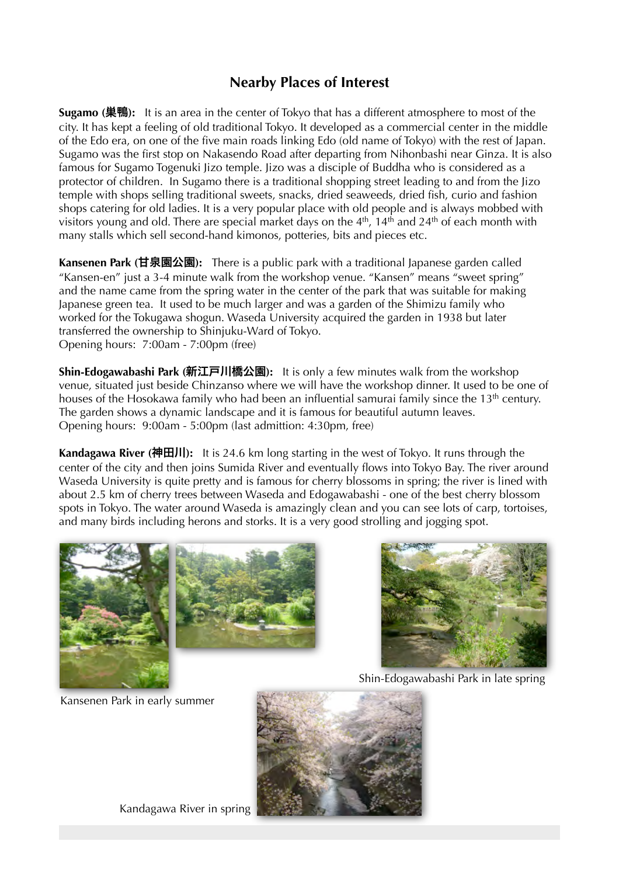## **Nearby Places of Interest**

**Sugamo (**巣鴨**):** It is an area in the center of Tokyo that has a different atmosphere to most of the city. It has kept a feeling of old traditional Tokyo. It developed as a commercial center in the middle of the Edo era, on one of the five main roads linking Edo (old name of Tokyo) with the rest of Japan. Sugamo was the first stop on Nakasendo Road after departing from Nihonbashi near Ginza. It is also famous for Sugamo Togenuki Jizo temple. Jizo was a disciple of Buddha who is considered as a protector of children. In Sugamo there is a traditional shopping street leading to and from the Jizo temple with shops selling traditional sweets, snacks, dried seaweeds, dried fish, curio and fashion shops catering for old ladies. It is a very popular place with old people and is always mobbed with visitors young and old. There are special market days on the  $4<sup>th</sup>$ , 14<sup>th</sup> and 24<sup>th</sup> of each month with many stalls which sell second-hand kimonos, potteries, bits and pieces etc.

**Kansenen Park (**甘泉園公園**):** There is a public park with a traditional Japanese garden called "Kansen-en" just a 3-4 minute walk from the workshop venue. "Kansen" means "sweet spring" and the name came from the spring water in the center of the park that was suitable for making Japanese green tea. It used to be much larger and was a garden of the Shimizu family who worked for the Tokugawa shogun. Waseda University acquired the garden in 1938 but later transferred the ownership to Shinjuku-Ward of Tokyo. Opening hours: 7:00am - 7:00pm (free)

**Shin-Edogawabashi Park (**新江戸川橋公園**):** It is only a few minutes walk from the workshop venue, situated just beside Chinzanso where we will have the workshop dinner. It used to be one of houses of the Hosokawa family who had been an influential samurai family since the 13<sup>th</sup> century. The garden shows a dynamic landscape and it is famous for beautiful autumn leaves. Opening hours: 9:00am - 5:00pm (last admittion: 4:30pm, free)

**Kandagawa River (**神田川**):** It is 24.6 km long starting in the west of Tokyo. It runs through the center of the city and then joins Sumida River and eventually flows into Tokyo Bay. The river around Waseda University is quite pretty and is famous for cherry blossoms in spring; the river is lined with about 2.5 km of cherry trees between Waseda and Edogawabashi - one of the best cherry blossom spots in Tokyo. The water around Waseda is amazingly clean and you can see lots of carp, tortoises, and many birds including herons and storks. It is a very good strolling and jogging spot.





Shin-Edogawabashi Park in late spring

Kansenen Park in early summer



Kandagawa River in spring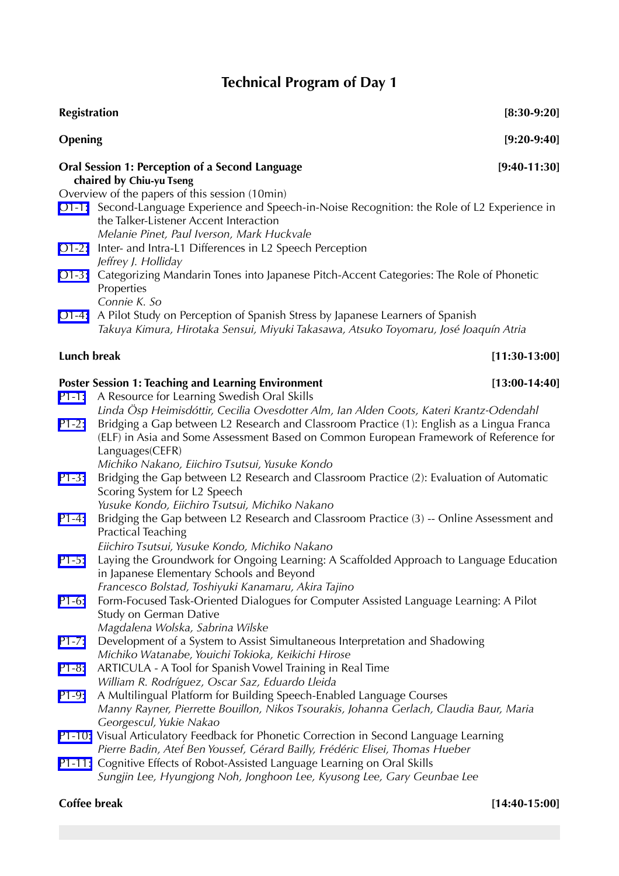# **Technical Program of Day 1**

| <b>Registration</b> |                                                                                                                                                                                                                                                         | $[8:30-9:20]$   |
|---------------------|---------------------------------------------------------------------------------------------------------------------------------------------------------------------------------------------------------------------------------------------------------|-----------------|
| Opening             |                                                                                                                                                                                                                                                         | $[9:20-9:40]$   |
|                     | <b>Oral Session 1: Perception of a Second Language</b><br>chaired by Chiu-yu Tseng                                                                                                                                                                      | $[9:40-11:30]$  |
|                     | Overview of the papers of this session (10min)<br>O1-1: Second-Language Experience and Speech-in-Noise Recognition: the Role of L2 Experience in<br>the Talker-Listener Accent Interaction<br>Melanie Pinet, Paul Iverson, Mark Huckvale                |                 |
| $O1-2$ :            | Inter- and Intra-L1 Differences in L2 Speech Perception<br>Jeffrey J. Holliday                                                                                                                                                                          |                 |
|                     | O1-3: Categorizing Mandarin Tones into Japanese Pitch-Accent Categories: The Role of Phonetic<br>Properties<br>Connie K. So                                                                                                                             |                 |
|                     | O1-4: A Pilot Study on Perception of Spanish Stress by Japanese Learners of Spanish<br>Takuya Kimura, Hirotaka Sensui, Miyuki Takasawa, Atsuko Toyomaru, José Joaquín Atria                                                                             |                 |
| Lunch break         |                                                                                                                                                                                                                                                         | $[11:30-13:00]$ |
|                     | <b>Poster Session 1: Teaching and Learning Environment</b>                                                                                                                                                                                              | $[13:00-14:40]$ |
|                     | P1-1: A Resource for Learning Swedish Oral Skills<br>Linda Ösp Heimisdóttir, Cecilia Ovesdotter Alm, Ian Alden Coots, Kateri Krantz-Odendahl                                                                                                            |                 |
| $P1-2:$             | Bridging a Gap between L2 Research and Classroom Practice (1): English as a Lingua Franca<br>(ELF) in Asia and Some Assessment Based on Common European Framework of Reference for<br>Languages(CEFR)<br>Michiko Nakano, Eiichiro Tsutsui, Yusuke Kondo |                 |
| $P1-3:$             | Bridging the Gap between L2 Research and Classroom Practice (2): Evaluation of Automatic<br>Scoring System for L2 Speech<br>Yusuke Kondo, Eiichiro Tsutsui, Michiko Nakano                                                                              |                 |
| $P1-4:$             | Bridging the Gap between L2 Research and Classroom Practice (3) -- Online Assessment and<br><b>Practical Teaching</b><br>Eiichiro Tsutsui, Yusuke Kondo, Michiko Nakano                                                                                 |                 |
| $P1 - 5:$           | Laying the Groundwork for Ongoing Learning: A Scaffolded Approach to Language Education<br>in Japanese Elementary Schools and Beyond<br>Francesco Bolstad, Toshiyuki Kanamaru, Akira Tajino                                                             |                 |
| $P1-6:$             | Form-Focused Task-Oriented Dialogues for Computer Assisted Language Learning: A Pilot<br>Study on German Dative<br>Magdalena Wolska, Sabrina Wilske                                                                                                     |                 |
| $P1-7:$             | Development of a System to Assist Simultaneous Interpretation and Shadowing<br>Michiko Watanabe, Youichi Tokioka, Keikichi Hirose                                                                                                                       |                 |
| $P1-8:$             | ARTICULA - A Tool for Spanish Vowel Training in Real Time<br>William R. Rodríguez, Oscar Saz, Eduardo Lleida                                                                                                                                            |                 |
| P1-9:               | A Multilingual Platform for Building Speech-Enabled Language Courses<br>Manny Rayner, Pierrette Bouillon, Nikos Tsourakis, Johanna Gerlach, Claudia Baur, Maria<br>Georgescul, Yukie Nakao                                                              |                 |
|                     | P1-10: Visual Articulatory Feedback for Phonetic Correction in Second Language Learning<br>Pierre Badin, Atef Ben Youssef, Gérard Bailly, Frédéric Elisei, Thomas Hueber                                                                                |                 |
|                     | P1-11: Cognitive Effects of Robot-Assisted Language Learning on Oral Skills<br>Sungjin Lee, Hyungjong Noh, Jonghoon Lee, Kyusong Lee, Gary Geunbae Lee                                                                                                  |                 |

## **Coffee break [14:40-15:00]**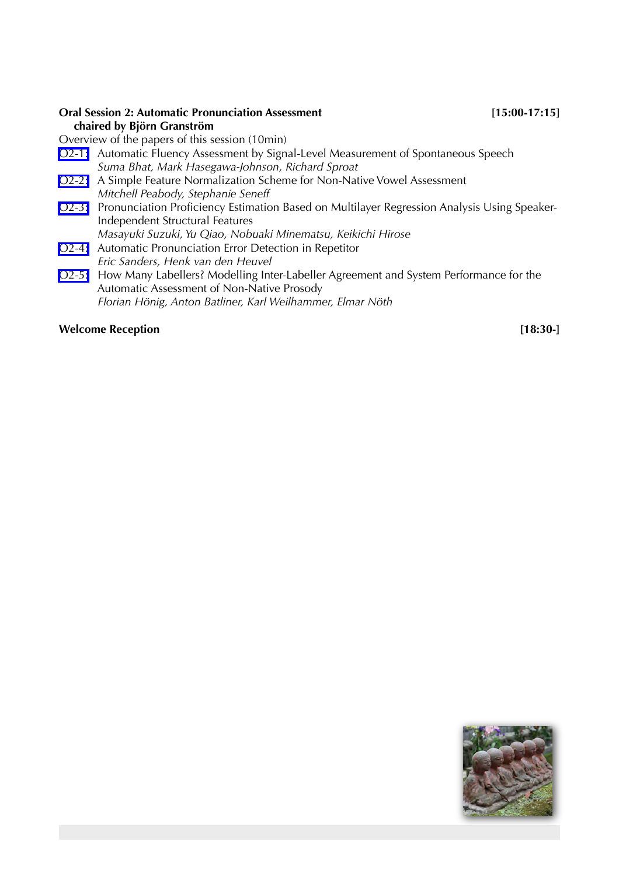### **Oral Session 2: Automatic Pronunciation Assessment [15:00-17:15] chaired by Björn Granström**

Overview of the papers of this session (10min)

- O2-1: Automatic Fluency Assessment by Signal-Level Measurement of Spontaneous Speech  *Suma Bhat, Mark Hasegawa-Johnson, Richard Sproat*
- O2-2: A Simple Feature Normalization Scheme for Non-Native Vowel Assessment  *Mitchell Peabody, Stephanie Seneff*
- O2-3: Pronunciation Proficiency Estimation Based on Multilayer Regression Analysis Using Speaker- Independent Structural Features  *Masayuki Suzuki, Yu Qiao, Nobuaki Minematsu, Keikichi Hirose*
- O2-4: Automatic Pronunciation Error Detection in Repetitor  *Eric Sanders, Henk van den Heuvel*
- O2-5: How Many Labellers? Modelling Inter-Labeller Agreement and System Performance for the Automatic Assessment of Non-Native Prosody  *Florian Hönig, Anton Batliner, Karl Weilhammer, Elmar Nöth*

#### **Welcome Reception** [18:30-]

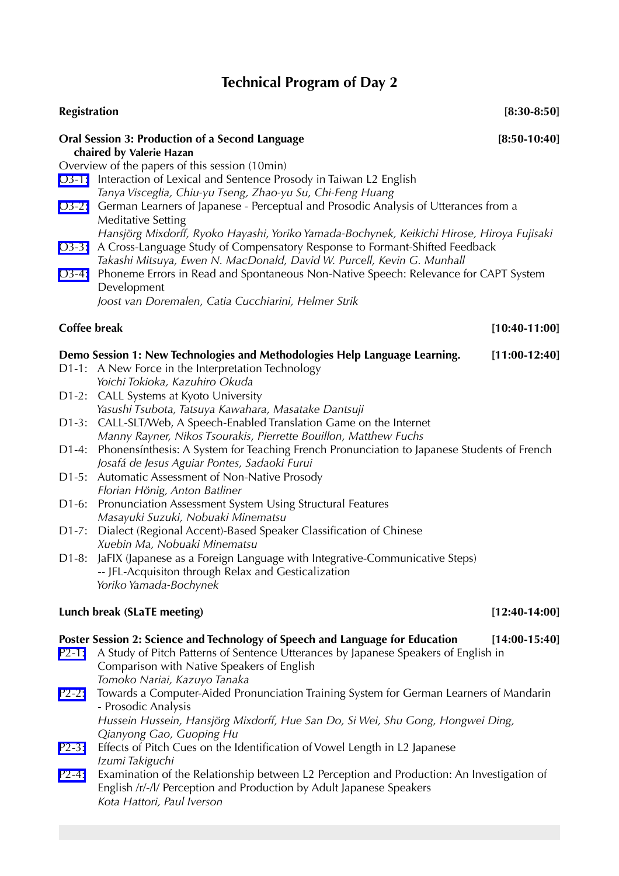# **Technical Program of Day 2**

| <b>Registration</b> |                                                                                                                                                                                                                      | $[8:30-8:50]$   |
|---------------------|----------------------------------------------------------------------------------------------------------------------------------------------------------------------------------------------------------------------|-----------------|
|                     | <b>Oral Session 3: Production of a Second Language</b><br>chaired by Valerie Hazan                                                                                                                                   | $[8:50-10:40]$  |
|                     | Overview of the papers of this session (10min)                                                                                                                                                                       |                 |
|                     | O3-1: Interaction of Lexical and Sentence Prosody in Taiwan L2 English<br>Tanya Visceglia, Chiu-yu Tseng, Zhao-yu Su, Chi-Feng Huang                                                                                 |                 |
|                     | O3-2: German Learners of Japanese - Perceptual and Prosodic Analysis of Utterances from a<br><b>Meditative Setting</b><br>Hansjörg Mixdorff, Ryoko Hayashi, Yoriko Yamada-Bochynek, Keikichi Hirose, Hiroya Fujisaki |                 |
|                     | O3-3: A Cross-Language Study of Compensatory Response to Formant-Shifted Feedback<br>Takashi Mitsuya, Ewen N. MacDonald, David W. Purcell, Kevin G. Munhall                                                          |                 |
| $O3-4:$             | Phoneme Errors in Read and Spontaneous Non-Native Speech: Relevance for CAPT System<br>Development                                                                                                                   |                 |
|                     | Joost van Doremalen, Catia Cucchiarini, Helmer Strik                                                                                                                                                                 |                 |
| <b>Coffee break</b> |                                                                                                                                                                                                                      | $[10:40-11:00]$ |
|                     | Demo Session 1: New Technologies and Methodologies Help Language Learning.                                                                                                                                           | $[11:00-12:40]$ |
|                     | D1-1: A New Force in the Interpretation Technology                                                                                                                                                                   |                 |
|                     | Yoichi Tokioka, Kazuhiro Okuda                                                                                                                                                                                       |                 |
|                     | D1-2: CALL Systems at Kyoto University                                                                                                                                                                               |                 |
|                     | Yasushi Tsubota, Tatsuya Kawahara, Masatake Dantsuji                                                                                                                                                                 |                 |
| D1-3:               | CALL-SLT/Web, A Speech-Enabled Translation Game on the Internet<br>Manny Rayner, Nikos Tsourakis, Pierrette Bouillon, Matthew Fuchs                                                                                  |                 |
| D1-4:               | Phonensinthesis: A System for Teaching French Pronunciation to Japanese Students of French                                                                                                                           |                 |
|                     | Josafá de Jesus Aguiar Pontes, Sadaoki Furui                                                                                                                                                                         |                 |
|                     | D1-5: Automatic Assessment of Non-Native Prosody                                                                                                                                                                     |                 |
|                     | Florian Hönig, Anton Batliner                                                                                                                                                                                        |                 |
| D1-6:               | Pronunciation Assessment System Using Structural Features                                                                                                                                                            |                 |
|                     | Masayuki Suzuki, Nobuaki Minematsu                                                                                                                                                                                   |                 |
| D1-7:               | Dialect (Regional Accent)-Based Speaker Classification of Chinese                                                                                                                                                    |                 |
|                     | Xuebin Ma, Nobuaki Minematsu                                                                                                                                                                                         |                 |
|                     | D1-8: JaFIX (Japanese as a Foreign Language with Integrative-Communicative Steps)                                                                                                                                    |                 |
|                     | -- JFL-Acquisiton through Relax and Gesticalization                                                                                                                                                                  |                 |
|                     | Yoriko Yamada-Bochynek                                                                                                                                                                                               |                 |
|                     | Lunch break (SLaTE meeting)                                                                                                                                                                                          | $[12:40-14:00]$ |
|                     | Poster Session 2: Science and Technology of Speech and Language for Education                                                                                                                                        | $[14:00-15:40]$ |
| $P2-1:$             | A Study of Pitch Patterns of Sentence Utterances by Japanese Speakers of English in<br>Comparison with Native Speakers of English<br>Tomoko Nariai, Kazuyo Tanaka                                                    |                 |
| $P2-2:$             | Towards a Computer-Aided Pronunciation Training System for German Learners of Mandarin<br>- Prosodic Analysis                                                                                                        |                 |

 *Hussein Hussein, Hansjörg Mixdorff, Hue San Do, Si Wei, Shu Gong, Hongwei Ding, Qianyong Gao, Guoping Hu*

- P2-3: Effects of Pitch Cues on the Identification of Vowel Length in L2 Japanese  *Izumi Takiguchi*
- P2-4: Examination of the Relationship between L2 Perception and Production: An Investigation of English /r/-/l/ Perception and Production by Adult Japanese Speakers  *Kota Hattori, Paul Iverson*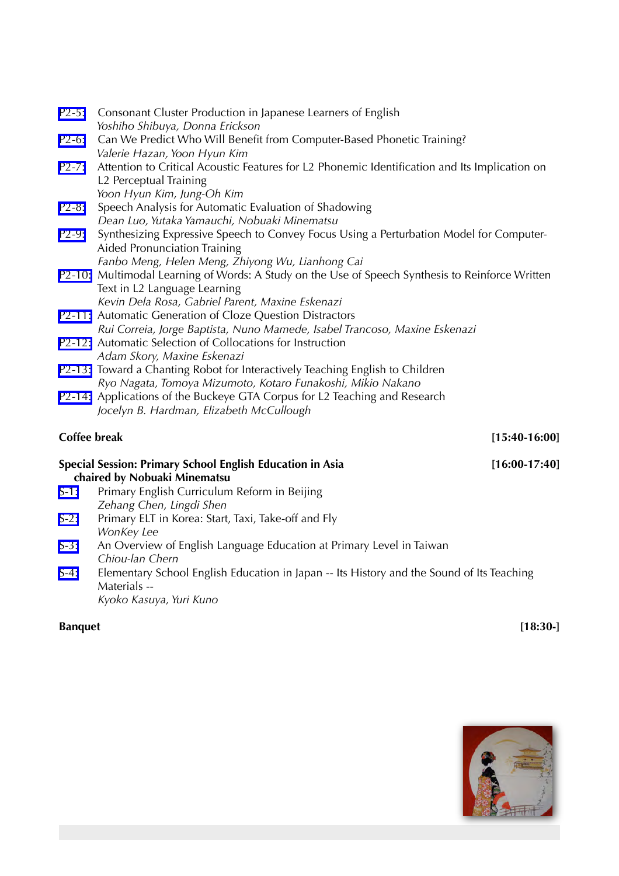| $P2-5:$            | Consonant Cluster Production in Japanese Learners of English<br>Yoshiho Shibuya, Donna Erickson           |                 |  |
|--------------------|-----------------------------------------------------------------------------------------------------------|-----------------|--|
| $P2-6:$            | Can We Predict Who Will Benefit from Computer-Based Phonetic Training?                                    |                 |  |
|                    | Valerie Hazan, Yoon Hyun Kim                                                                              |                 |  |
| $P2 - 7:$          | Attention to Critical Acoustic Features for L2 Phonemic Identification and Its Implication on             |                 |  |
|                    | L2 Perceptual Training                                                                                    |                 |  |
|                    | Yoon Hyun Kim, Jung-Oh Kim                                                                                |                 |  |
| $P2-8:$            | Speech Analysis for Automatic Evaluation of Shadowing                                                     |                 |  |
|                    | Dean Luo, Yutaka Yamauchi, Nobuaki Minematsu                                                              |                 |  |
| P <sub>2</sub> -9: | Synthesizing Expressive Speech to Convey Focus Using a Perturbation Model for Computer-                   |                 |  |
|                    | <b>Aided Pronunciation Training</b>                                                                       |                 |  |
|                    | Fanbo Meng, Helen Meng, Zhiyong Wu, Lianhong Cai                                                          |                 |  |
|                    | P2-10: Multimodal Learning of Words: A Study on the Use of Speech Synthesis to Reinforce Written          |                 |  |
|                    | Text in L2 Language Learning                                                                              |                 |  |
|                    | Kevin Dela Rosa, Gabriel Parent, Maxine Eskenazi                                                          |                 |  |
|                    | P2-11: Automatic Generation of Cloze Question Distractors                                                 |                 |  |
|                    | Rui Correia, Jorge Baptista, Nuno Mamede, Isabel Trancoso, Maxine Eskenazi                                |                 |  |
|                    | P2-12: Automatic Selection of Collocations for Instruction                                                |                 |  |
|                    | Adam Skory, Maxine Eskenazi                                                                               |                 |  |
|                    | P2-13: Toward a Chanting Robot for Interactively Teaching English to Children                             |                 |  |
|                    | Ryo Nagata, Tomoya Mizumoto, Kotaro Funakoshi, Mikio Nakano                                               |                 |  |
|                    | P2-14: Applications of the Buckeye GTA Corpus for L2 Teaching and Research                                |                 |  |
|                    | Jocelyn B. Hardman, Elizabeth McCullough                                                                  |                 |  |
| Coffee break       |                                                                                                           | $[15:40-16:00]$ |  |
|                    | <b>Special Session: Primary School English Education in Asia</b>                                          | $[16:00-17:40]$ |  |
|                    | chaired by Nobuaki Minematsu                                                                              |                 |  |
| $S-1:$             | Primary English Curriculum Reform in Beijing                                                              |                 |  |
|                    | Zehang Chen, Lingdi Shen                                                                                  |                 |  |
| $S-2:$             | Primary ELT in Korea: Start, Taxi, Take-off and Fly                                                       |                 |  |
|                    | WonKey Lee                                                                                                |                 |  |
| $S-3:$             | An Overview of English Language Education at Primary Level in Taiwan                                      |                 |  |
|                    | Chiou-lan Chern                                                                                           |                 |  |
| $S-4:$             | Elementary School English Education in Japan -- Its History and the Sound of Its Teaching<br>Materials -- |                 |  |
|                    | Kyoko Kasuya, Yuri Kuno                                                                                   |                 |  |

#### **Banquet** [18:30-]

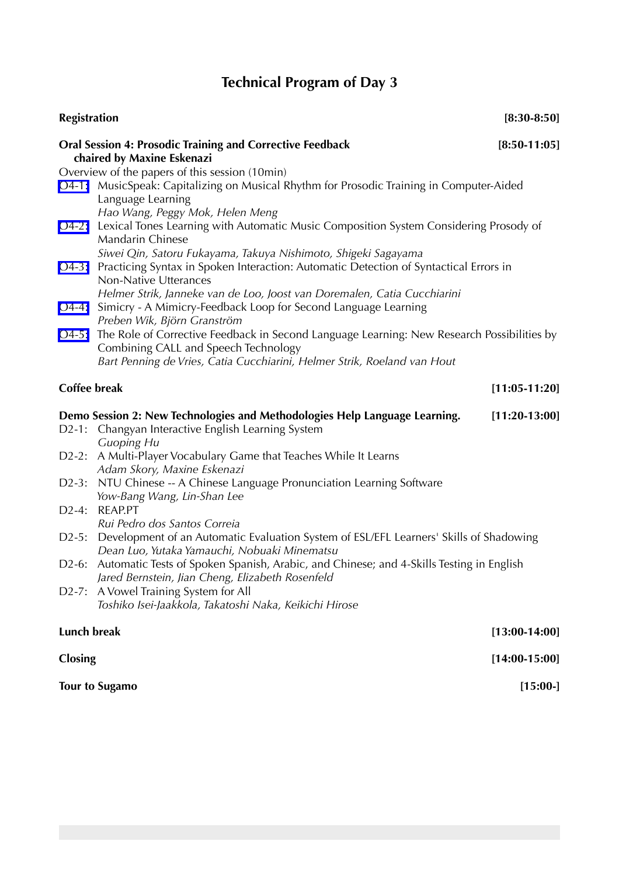# **Technical Program of Day 3**

| <b>Registration</b> |                                                                                                                                                                                               | $[8:30-8:50]$   |
|---------------------|-----------------------------------------------------------------------------------------------------------------------------------------------------------------------------------------------|-----------------|
|                     | <b>Oral Session 4: Prosodic Training and Corrective Feedback</b><br>chaired by Maxine Eskenazi                                                                                                | $[8:50-11:05]$  |
|                     | Overview of the papers of this session (10min)                                                                                                                                                |                 |
|                     | O4-1: MusicSpeak: Capitalizing on Musical Rhythm for Prosodic Training in Computer-Aided<br>Language Learning                                                                                 |                 |
|                     | Hao Wang, Peggy Mok, Helen Meng<br>O4-2: Lexical Tones Learning with Automatic Music Composition System Considering Prosody of<br><b>Mandarin Chinese</b>                                     |                 |
|                     | Siwei Qin, Satoru Fukayama, Takuya Nishimoto, Shigeki Sagayama<br>O4-3: Practicing Syntax in Spoken Interaction: Automatic Detection of Syntactical Errors in<br><b>Non-Native Utterances</b> |                 |
|                     | Helmer Strik, Janneke van de Loo, Joost van Doremalen, Catia Cucchiarini                                                                                                                      |                 |
| $O4-4:$             | Simicry - A Mimicry-Feedback Loop for Second Language Learning<br>Preben Wik, Björn Granström                                                                                                 |                 |
|                     | O4-5: The Role of Corrective Feedback in Second Language Learning: New Research Possibilities by<br>Combining CALL and Speech Technology                                                      |                 |
|                     | Bart Penning de Vries, Catia Cucchiarini, Helmer Strik, Roeland van Hout                                                                                                                      |                 |
| <b>Coffee break</b> |                                                                                                                                                                                               | $[11:05-11:20]$ |
|                     | Demo Session 2: New Technologies and Methodologies Help Language Learning.                                                                                                                    | $[11:20-13:00]$ |
|                     | D2-1: Changyan Interactive English Learning System<br><b>Guoping Hu</b>                                                                                                                       |                 |
|                     | D2-2: A Multi-Player Vocabulary Game that Teaches While It Learns<br>Adam Skory, Maxine Eskenazi                                                                                              |                 |
|                     | D2-3: NTU Chinese -- A Chinese Language Pronunciation Learning Software<br>Yow-Bang Wang, Lin-Shan Lee                                                                                        |                 |
|                     | D2-4: REAP.PT<br>Rui Pedro dos Santos Correia                                                                                                                                                 |                 |
| $D2-5:$             | Development of an Automatic Evaluation System of ESL/EFL Learners' Skills of Shadowing<br>Dean Luo, Yutaka Yamauchi, Nobuaki Minematsu                                                        |                 |
|                     | D2-6: Automatic Tests of Spoken Spanish, Arabic, and Chinese; and 4-Skills Testing in English<br>Jared Bernstein, Jian Cheng, Elizabeth Rosenfeld                                             |                 |
|                     | D2-7: A Vowel Training System for All<br>Toshiko Isei-Jaakkola, Takatoshi Naka, Keikichi Hirose                                                                                               |                 |
| Lunch break         |                                                                                                                                                                                               | $[13:00-14:00]$ |
| Closing             |                                                                                                                                                                                               | $[14:00-15:00]$ |
|                     | <b>Tour to Sugamo</b>                                                                                                                                                                         | [15:00.]        |